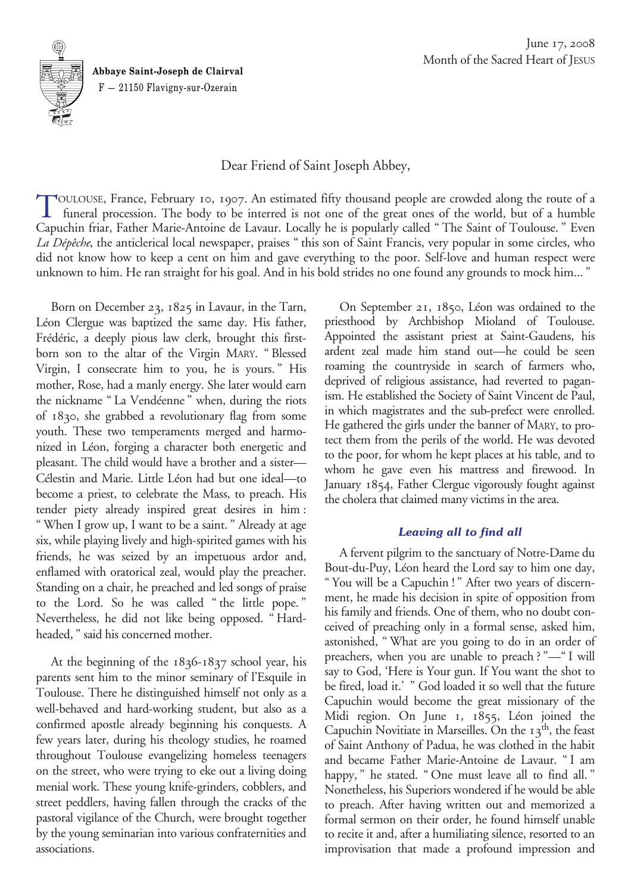

**Abbaye Saint-Joseph de Clairval** F — 21150 Flavigny-sur-Ozerain

# Dear Friend of Saint Joseph Abbey,

TOULOUSE, France, February 10, 1907. An estimated fifty thousand people are crowded along the route of a<br>funeral procession. The body to be interred is not one of the great ones of the world, but of a humble Capuchin friar, Father Marie-Antoine de Lavaur. Locally he is popularly called "The Saint of Toulouse." Even *La Dépêche*, the anticlerical local newspaper, praises "this son of Saint Francis, very popular in some circles, who did not know how to keep a cent on him and gave everything to the poor. Self-love and human respect were unknown to him. He ran straight for his goal. And in his bold strides no one found any grounds to mock him..."

Born on December 23, 1825 in Lavaur, in the Tarn, Léon Clergue was baptized the same day. His father, Frédéric, a deeply pious law clerk, brought this firstborn son to the altar of the Virgin MARY. "Blessed Virgin, I consecrate him to you, he is yours." His mother, Rose, had a manly energy. She later would earn the nickname "La Vendéenne" when, during the riots of 1830, she grabbed a revolutionary flag from some youth. These two temperaments merged and harmonized in Léon, forging a character both energetic and pleasant. The child would have a brother and a sister— Célestin and Marie. Little Léon had but one ideal—to become a priest, to celebrate the Mass, to preach. His tender piety already inspired great desires in him: "When I grow up, I want to be a saint." Already at age six, while playing lively and high-spirited games with his friends, he was seized by an impetuous ardor and, enflamed with oratorical zeal, would play the preacher. Standing on a chair, he preached and led songs of praise to the Lord. So he was called "the little pope." Nevertheless, he did not like being opposed. "Hardheaded," said his concerned mother.

At the beginning of the 1836-1837 school year, his parents sent him to the minor seminary of l'Esquile in Toulouse. There he distinguished himself not only as a well-behaved and hard-working student, but also as a confirmed apostle already beginning his conquests. A few years later, during his theology studies, he roamed throughout Toulouse evangelizing homeless teenagers on the street, who were trying to eke out a living doing menial work. These young knife-grinders, cobblers, and street peddlers, having fallen through the cracks of the pastoral vigilance of the Church, were brought together by the young seminarian into various confraternities and associations.

On September 21, 1850, Léon was ordained to the priesthood by Archbishop Mioland of Toulouse. Appointed the assistant priest at Saint-Gaudens, his ardent zeal made him stand out—he could be seen roaming the countryside in search of farmers who, deprived of religious assistance, had reverted to paganism. He established the Society of Saint Vincent de Paul, in which magistrates and the sub-prefect were enrolled. He gathered the girls under the banner of MARY, to protect them from the perils of the world. He was devoted to the poor, for whom he kept places at his table, and to whom he gave even his mattress and firewood. In January 1854, Father Clergue vigorously fought against the cholera that claimed many victims in the area.

## *Leaving all to find all*

A fervent pilgrim to the sanctuary of Notre-Dame du Bout-du-Puy, Léon heard the Lord say to him one day, "You will be a Capuchin!" After two years of discernment, he made his decision in spite of opposition from his family and friends. One of them, who no doubt conceived of preaching only in a formal sense, asked him, astonished, "What are you going to do in an order of preachers, when you are unable to preach?"—"I will say to God, 'Here is Your gun. If You want the shot to be fired, load it.' " God loaded it so well that the future Capuchin would become the great missionary of the Midi region. On June 1, 1855, Léon joined the Capuchin Novitiate in Marseilles. On the  $13<sup>th</sup>$ , the feast of Saint Anthony of Padua, he was clothed in the habit and became Father Marie-Antoine de Lavaur. "I am happy," he stated. "One must leave all to find all." Nonetheless, his Superiors wondered if he would be able to preach. After having written out and memorized a formal sermon on their order, he found himself unable to recite it and, after a humiliating silence, resorted to an improvisation that made a profound impression and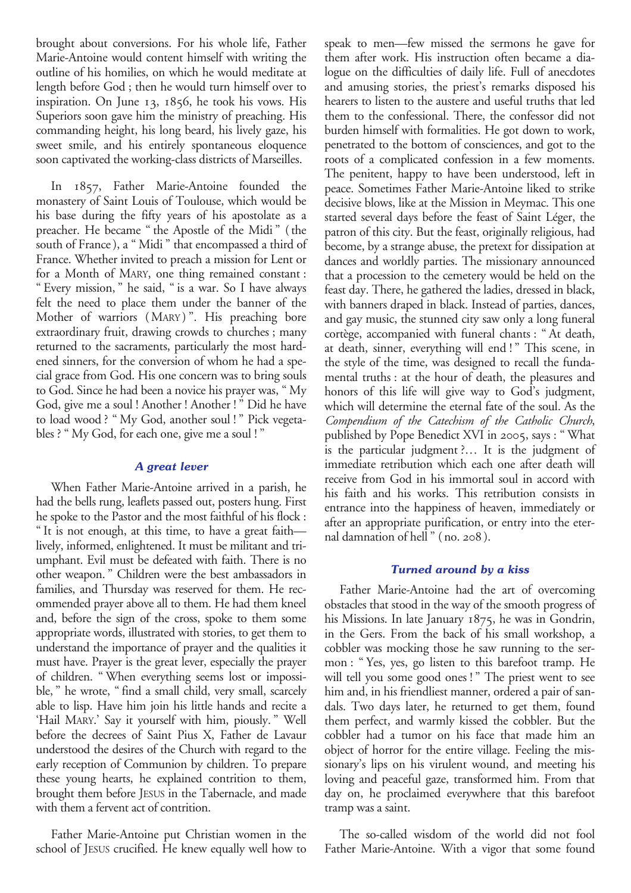brought about conversions. For his whole life, Father Marie-Antoine would content himself with writing the outline of his homilies, on which he would meditate at length before God; then he would turn himself over to inspiration. On June 13, 1856, he took his vows. His Superiors soon gave him the ministry of preaching. His commanding height, his long beard, his lively gaze, his sweet smile, and his entirely spontaneous eloquence soon captivated the working-class districts of Marseilles.

In 1857, Father Marie-Antoine founded the monastery of Saint Louis of Toulouse, which would be his base during the fifty years of his apostolate as a preacher. He became "the Apostle of the Midi" (the south of France), a "Midi" that encompassed a third of France. Whether invited to preach a mission for Lent or for a Month of MARY, one thing remained constant: "Every mission," he said, "is a war. So I have always felt the need to place them under the banner of the Mother of warriors (MARY)". His preaching bore extraordinary fruit, drawing crowds to churches; many returned to the sacraments, particularly the most hardened sinners, for the conversion of whom he had a special grace from God. His one concern was to bring souls to God. Since he had been a novice his prayer was, "My God, give me a soul! Another! Another!" Did he have to load wood? "My God, another soul!" Pick vegetables? "My God, for each one, give me a soul!"

## *A great lever*

When Father Marie-Antoine arrived in a parish, he had the bells rung, leaflets passed out, posters hung. First he spoke to the Pastor and the most faithful of his flock: "It is not enough, at this time, to have a great faith lively, informed, enlightened. It must be militant and triumphant. Evil must be defeated with faith. There is no other weapon." Children were the best ambassadors in families, and Thursday was reserved for them. He recommended prayer above all to them. He had them kneel and, before the sign of the cross, spoke to them some appropriate words, illustrated with stories, to get them to understand the importance of prayer and the qualities it must have. Prayer is the great lever, especially the prayer of children. "When everything seems lost or impossible," he wrote, "find a small child, very small, scarcely able to lisp. Have him join his little hands and recite a 'Hail MARY.' Say it yourself with him, piously." Well before the decrees of Saint Pius X, Father de Lavaur understood the desires of the Church with regard to the early reception of Communion by children. To prepare these young hearts, he explained contrition to them, brought them before JESUS in the Tabernacle, and made with them a fervent act of contrition.

Father Marie-Antoine put Christian women in the school of JESUS crucified. He knew equally well how to speak to men—few missed the sermons he gave for them after work. His instruction often became a dialogue on the difficulties of daily life. Full of anecdotes and amusing stories, the priest's remarks disposed his hearers to listen to the austere and useful truths that led them to the confessional. There, the confessor did not burden himself with formalities. He got down to work, penetrated to the bottom of consciences, and got to the roots of a complicated confession in a few moments. The penitent, happy to have been understood, left in peace. Sometimes Father Marie-Antoine liked to strike decisive blows, like at the Mission in Meymac. This one started several days before the feast of Saint Léger, the patron of this city. But the feast, originally religious, had become, by a strange abuse, the pretext for dissipation at dances and worldly parties. The missionary announced that a procession to the cemetery would be held on the feast day. There, he gathered the ladies, dressed in black, with banners draped in black. Instead of parties, dances, and gay music, the stunned city saw only a long funeral cortège, accompanied with funeral chants: "At death, at death, sinner, everything will end!" This scene, in the style of the time, was designed to recall the fundamental truths: at the hour of death, the pleasures and honors of this life will give way to God's judgment, which will determine the eternal fate of the soul. As the *Compendium of the Catechism of the Catholic Church*, published by Pope Benedict XVI in 2005, says: "What is the particular judgment?… It is the judgment of immediate retribution which each one after death will receive from God in his immortal soul in accord with his faith and his works. This retribution consists in entrance into the happiness of heaven, immediately or after an appropriate purification, or entry into the eternal damnation of hell" (no. 208).

## *Turned around by a kiss*

Father Marie-Antoine had the art of overcoming obstacles that stood in the way of the smooth progress of his Missions. In late January 1875, he was in Gondrin, in the Gers. From the back of his small workshop, a cobbler was mocking those he saw running to the sermon: "Yes, yes, go listen to this barefoot tramp. He will tell you some good ones!" The priest went to see him and, in his friendliest manner, ordered a pair of sandals. Two days later, he returned to get them, found them perfect, and warmly kissed the cobbler. But the cobbler had a tumor on his face that made him an object of horror for the entire village. Feeling the missionary's lips on his virulent wound, and meeting his loving and peaceful gaze, transformed him. From that day on, he proclaimed everywhere that this barefoot tramp was a saint.

The so-called wisdom of the world did not fool Father Marie-Antoine. With a vigor that some found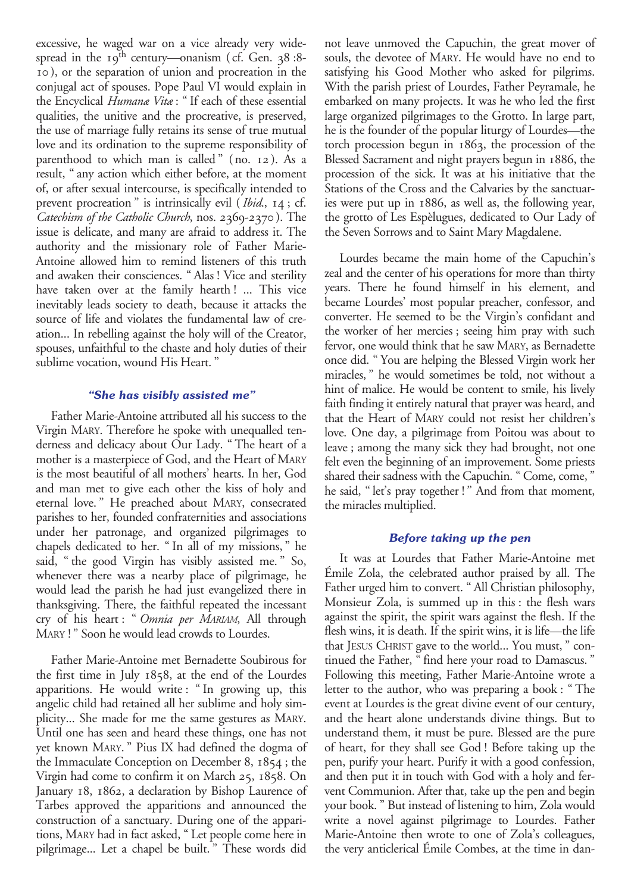excessive, he waged war on a vice already very widespread in the  $19^{th}$  century—onanism (cf. Gen. 38:8-10), or the separation of union and procreation in the conjugal act of spouses. Pope Paul VI would explain in the Encyclical *Humanæ Vitæ*: "If each of these essential qualities, the unitive and the procreative, is preserved, the use of marriage fully retains its sense of true mutual love and its ordination to the supreme responsibility of parenthood to which man is called" (no. 12). As a result, "any action which either before, at the moment of, or after sexual intercourse, is specifically intended to prevent procreation" is intrinsically evil (*Ibid*., 14; cf. *Catechism of the Catholic Church*, nos. 2369-2370). The issue is delicate, and many are afraid to address it. The authority and the missionary role of Father Marie-Antoine allowed him to remind listeners of this truth and awaken their consciences. "Alas! Vice and sterility have taken over at the family hearth! ... This vice inevitably leads society to death, because it attacks the source of life and violates the fundamental law of creation... In rebelling against the holy will of the Creator, spouses, unfaithful to the chaste and holy duties of their sublime vocation, wound His Heart."

## *"She has visibly assisted me"*

Father Marie-Antoine attributed all his success to the Virgin MARY. Therefore he spoke with unequalled tenderness and delicacy about Our Lady. "The heart of a mother is a masterpiece of God, and the Heart of MARY is the most beautiful of all mothers' hearts. In her, God and man met to give each other the kiss of holy and eternal love." He preached about MARY, consecrated parishes to her, founded confraternities and associations under her patronage, and organized pilgrimages to chapels dedicated to her. "In all of my missions," he said, "the good Virgin has visibly assisted me." So, whenever there was a nearby place of pilgrimage, he would lead the parish he had just evangelized there in thanksgiving. There, the faithful repeated the incessant cry of his heart: "*Omnia per MARIAM*, All through MARY!" Soon he would lead crowds to Lourdes.

Father Marie-Antoine met Bernadette Soubirous for the first time in July 1858, at the end of the Lourdes apparitions. He would write: "In growing up, this angelic child had retained all her sublime and holy simplicity... She made for me the same gestures as MARY. Until one has seen and heard these things, one has not yet known MARY." Pius IX had defined the dogma of the Immaculate Conception on December 8, 1854; the Virgin had come to confirm it on March 25, 1858. On January 18, 1862, a declaration by Bishop Laurence of Tarbes approved the apparitions and announced the construction of a sanctuary. During one of the apparitions, MARY had in fact asked, "Let people come here in pilgrimage... Let a chapel be built." These words did

not leave unmoved the Capuchin, the great mover of souls, the devotee of MARY. He would have no end to satisfying his Good Mother who asked for pilgrims. With the parish priest of Lourdes, Father Peyramale, he embarked on many projects. It was he who led the first large organized pilgrimages to the Grotto. In large part, he is the founder of the popular liturgy of Lourdes—the torch procession begun in 1863, the procession of the Blessed Sacrament and night prayers begun in 1886, the procession of the sick. It was at his initiative that the Stations of the Cross and the Calvaries by the sanctuaries were put up in 1886, as well as, the following year, the grotto of Les Espèlugues, dedicated to Our Lady of the Seven Sorrows and to Saint Mary Magdalene.

Lourdes became the main home of the Capuchin's zeal and the center of his operations for more than thirty years. There he found himself in his element, and became Lourdes' most popular preacher, confessor, and converter. He seemed to be the Virgin's confidant and the worker of her mercies; seeing him pray with such fervor, one would think that he saw MARY, as Bernadette once did. "You are helping the Blessed Virgin work her miracles," he would sometimes be told, not without a hint of malice. He would be content to smile, his lively faith finding it entirely natural that prayer was heard, and that the Heart of MARY could not resist her children's love. One day, a pilgrimage from Poitou was about to leave; among the many sick they had brought, not one felt even the beginning of an improvement. Some priests shared their sadness with the Capuchin. "Come, come, " he said, "let's pray together!" And from that moment, the miracles multiplied.

## *Before taking up the pen*

It was at Lourdes that Father Marie-Antoine met Émile Zola, the celebrated author praised by all. The Father urged him to convert. "All Christian philosophy, Monsieur Zola, is summed up in this: the flesh wars against the spirit, the spirit wars against the flesh. If the flesh wins, it is death. If the spirit wins, it is life—the life that JESUS CHRIST gave to the world... You must," continued the Father, "find here your road to Damascus." Following this meeting, Father Marie-Antoine wrote a letter to the author, who was preparing a book: "The event at Lourdes is the great divine event of our century, and the heart alone understands divine things. But to understand them, it must be pure. Blessed are the pure of heart, for they shall see God! Before taking up the pen, purify your heart. Purify it with a good confession, and then put it in touch with God with a holy and fervent Communion. After that, take up the pen and begin your book." But instead of listening to him, Zola would write a novel against pilgrimage to Lourdes. Father Marie-Antoine then wrote to one of Zola's colleagues, the very anticlerical Émile Combes, at the time in dan